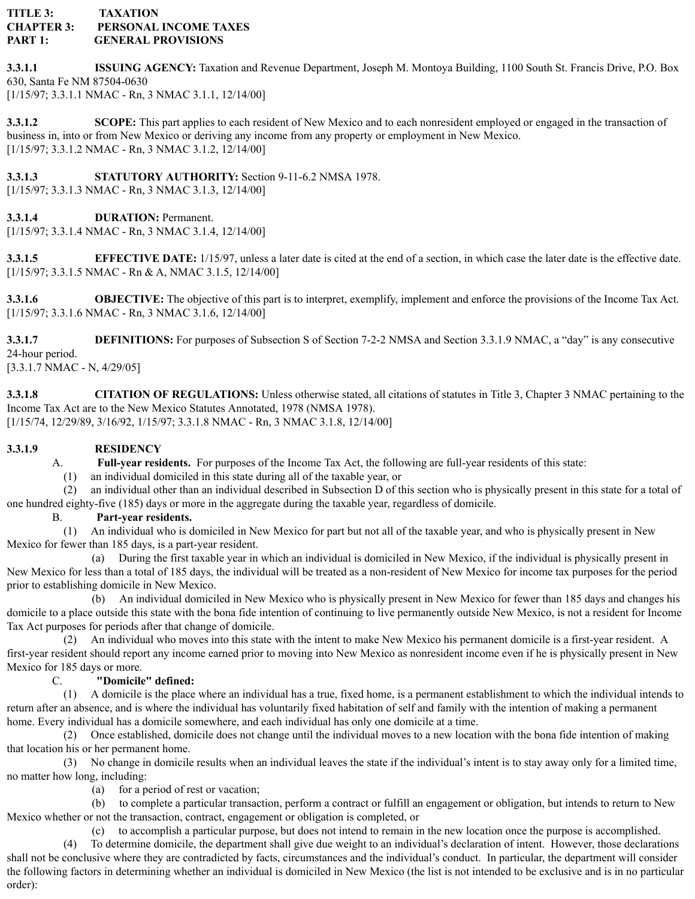## **TITLE 3: TAXATION CHAPTER 3: PERSONAL INCOME TAXES PART 1: GENERAL PROVISIONS**

**3.3.1.1 ISSUING AGENCY:** Taxation and Revenue Department, Joseph M. Montoya Building, 1100 South St. Francis Drive, P.O. Box 630, Santa Fe NM 87504-0630 [1/15/97; 3.3.1.1 NMAC - Rn, 3 NMAC 3.1.1, 12/14/00]

**3.3.1.2 SCOPE:** This part applies to each resident of New Mexico and to each nonresident employed or engaged in the transaction of business in, into or from New Mexico or deriving any income from any property or employment in New Mexico. [1/15/97; 3.3.1.2 NMAC - Rn, 3 NMAC 3.1.2, 12/14/00]

**3.3.1.3 STATUTORY AUTHORITY:** Section 9-11-6.2 NMSA 1978.

[1/15/97; 3.3.1.3 NMAC - Rn, 3 NMAC 3.1.3, 12/14/00]

**3.3.1.4 DURATION:** Permanent.

[1/15/97; 3.3.1.4 NMAC - Rn, 3 NMAC 3.1.4, 12/14/00]

**3.3.1.5 EFFECTIVE DATE:** 1/15/97, unless a later date is cited at the end of a section, in which case the later date is the effective date. [1/15/97; 3.3.1.5 NMAC - Rn & A, NMAC 3.1.5, 12/14/00]

**3.3.1.6 OBJECTIVE:** The objective of this part is to interpret, exemplify, implement and enforce the provisions of the Income Tax Act. [1/15/97; 3.3.1.6 NMAC - Rn, 3 NMAC 3.1.6, 12/14/00]

**3.3.1.7 DEFINITIONS:** For purposes of Subsection S of Section 7-2-2 NMSA and Section 3.3.1.9 NMAC, a "day" is any consecutive 24-hour period.

[3.3.1.7 NMAC - N, 4/29/05]

**3.3.1.8 CITATION OF REGULATIONS:** Unless otherwise stated, all citations of statutes in Title 3, Chapter 3 NMAC pertaining to the Income Tax Act are to the New Mexico Statutes Annotated, 1978 (NMSA 1978). [1/15/74, 12/29/89, 3/16/92, 1/15/97; 3.3.1.8 NMAC - Rn, 3 NMAC 3.1.8, 12/14/00]

# **3.3.1.9 RESIDENCY**

A. **Full-year residents.** For purposes of the Income Tax Act, the following are full-year residents of this state:

(1) an individual domiciled in this state during all of the taxable year, or

(2) an individual other than an individual described in Subsection D of this section who is physically present in this state for a total of one hundred eighty-five (185) days or more in the aggregate during the taxable year, regardless of domicile.

# B. **Part-year residents.**

(1) An individual who is domiciled in New Mexico for part but not all of the taxable year, and who is physically present in New Mexico for fewer than 185 days, is a part-year resident.

(a) During the first taxable year in which an individual is domiciled in New Mexico, if the individual is physically present in New Mexico for less than a total of 185 days, the individual will be treated as a non-resident of New Mexico for income tax purposes for the period prior to establishing domicile in New Mexico.

(b) An individual domiciled in New Mexico who is physically present in New Mexico for fewer than 185 days and changes his domicile to a place outside this state with the bona fide intention of continuing to live permanently outside New Mexico, is not a resident for Income Tax Act purposes for periods after that change of domicile.

(2) An individual who moves into this state with the intent to make New Mexico his permanent domicile is a first-year resident. A first-year resident should report any income earned prior to moving into New Mexico as nonresident income even if he is physically present in New Mexico for 185 days or more.

# C. **"Domicile" defined:**

(1) A domicile is the place where an individual has a true, fixed home, is a permanent establishment to which the individual intends to return after an absence, and is where the individual has voluntarily fixed habitation of self and family with the intention of making a permanent home. Every individual has a domicile somewhere, and each individual has only one domicile at a time.

(2) Once established, domicile does not change until the individual moves to a new location with the bona fide intention of making that location his or her permanent home.

(3) No change in domicile results when an individual leaves the state if the individual's intent is to stay away only for a limited time, no matter how long, including:

(a) for a period of rest or vacation;

(b) to complete a particular transaction, perform a contract or fulfill an engagement or obligation, but intends to return to New Mexico whether or not the transaction, contract, engagement or obligation is completed, or

(c) to accomplish a particular purpose, but does not intend to remain in the new location once the purpose is accomplished.

(4) To determine domicile, the department shall give due weight to an individual's declaration of intent. However, those declarations shall not be conclusive where they are contradicted by facts, circumstances and the individual's conduct. In particular, the department will consider the following factors in determining whether an individual is domiciled in New Mexico (the list is not intended to be exclusive and is in no particular order):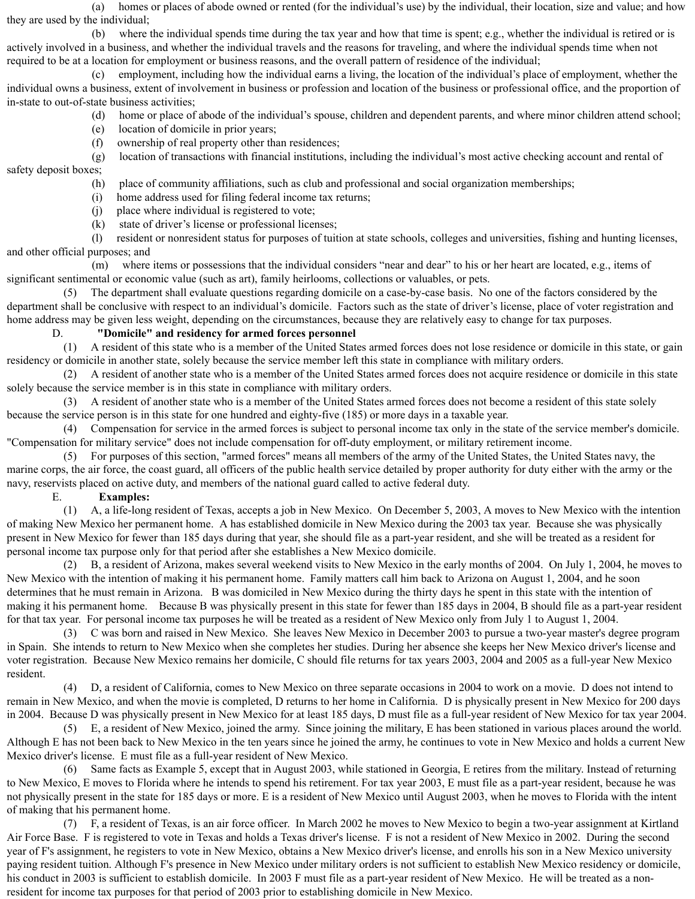(a) homes or places of abode owned or rented (for the individual's use) by the individual, their location, size and value; and how they are used by the individual;

(b) where the individual spends time during the tax year and how that time is spent; e.g., whether the individual is retired or is actively involved in a business, and whether the individual travels and the reasons for traveling, and where the individual spends time when not required to be at a location for employment or business reasons, and the overall pattern of residence of the individual;

(c) employment, including how the individual earns a living, the location of the individual's place of employment, whether the individual owns a business, extent of involvement in business or profession and location of the business or professional office, and the proportion of in-state to out-of-state business activities;

- (d) home or place of abode of the individual's spouse, children and dependent parents, and where minor children attend school;
- (e) location of domicile in prior years;
- (f) ownership of real property other than residences;

(g) location of transactions with financial institutions, including the individual's most active checking account and rental of safety deposit boxes;

- (h) place of community affiliations, such as club and professional and social organization memberships;
- (i) home address used for filing federal income tax returns;
- (j) place where individual is registered to vote;
- (k) state of driver's license or professional licenses;

(l) resident or nonresident status for purposes of tuition at state schools, colleges and universities, fishing and hunting licenses, and other official purposes; and

(m) where items or possessions that the individual considers "near and dear" to his or her heart are located, e.g., items of significant sentimental or economic value (such as art), family heirlooms, collections or valuables, or pets.

(5) The department shall evaluate questions regarding domicile on a case-by-case basis. No one of the factors considered by the department shall be conclusive with respect to an individual's domicile. Factors such as the state of driver's license, place of voter registration and home address may be given less weight, depending on the circumstances, because they are relatively easy to change for tax purposes.

### D. **"Domicile" and residency for armed forces personnel**

(1) A resident of this state who is a member of the United States armed forces does not lose residence or domicile in this state, or gain residency or domicile in another state, solely because the service member left this state in compliance with military orders.

(2) A resident of another state who is a member of the United States armed forces does not acquire residence or domicile in this state solely because the service member is in this state in compliance with military orders.

(3) A resident of another state who is a member of the United States armed forces does not become a resident of this state solely because the service person is in this state for one hundred and eighty-five (185) or more days in a taxable year.

(4) Compensation for service in the armed forces is subject to personal income tax only in the state of the service member's domicile. "Compensation for military service" does not include compensation for off-duty employment, or military retirement income.

(5) For purposes of this section, "armed forces" means all members of the army of the United States, the United States navy, the marine corps, the air force, the coast guard, all officers of the public health service detailed by proper authority for duty either with the army or the navy, reservists placed on active duty, and members of the national guard called to active federal duty.

#### E. **Examples:**

(1) A, a life-long resident of Texas, accepts a job in New Mexico. On December 5, 2003, A moves to New Mexico with the intention of making New Mexico her permanent home. A has established domicile in New Mexico during the 2003 tax year. Because she was physically present in New Mexico for fewer than 185 days during that year, she should file as a part-year resident, and she will be treated as a resident for personal income tax purpose only for that period after she establishes a New Mexico domicile.

(2) B, a resident of Arizona, makes several weekend visits to New Mexico in the early months of 2004. On July 1, 2004, he moves to New Mexico with the intention of making it his permanent home. Family matters call him back to Arizona on August 1, 2004, and he soon determines that he must remain in Arizona. B was domiciled in New Mexico during the thirty days he spent in this state with the intention of making it his permanent home. Because B was physically present in this state for fewer than 185 days in 2004, B should file as a part-year resident for that tax year. For personal income tax purposes he will be treated as a resident of New Mexico only from July 1 to August 1, 2004.

(3) C was born and raised in New Mexico. She leaves New Mexico in December 2003 to pursue a two-year master's degree program in Spain. She intends to return to New Mexico when she completes her studies. During her absence she keeps her New Mexico driver's license and voter registration. Because New Mexico remains her domicile, C should file returns for tax years 2003, 2004 and 2005 as a full-year New Mexico resident.

(4) D, a resident of California, comes to New Mexico on three separate occasions in 2004 to work on a movie. D does not intend to remain in New Mexico, and when the movie is completed, D returns to her home in California. D is physically present in New Mexico for 200 days in 2004. Because D was physically present in New Mexico for at least 185 days, D must file as a full-year resident of New Mexico for tax year 2004.

(5) E, a resident of New Mexico, joined the army. Since joining the military, E has been stationed in various places around the world. Although E has not been back to New Mexico in the ten years since he joined the army, he continues to vote in New Mexico and holds a current New Mexico driver's license. E must file as a full-year resident of New Mexico.

(6) Same facts as Example 5, except that in August 2003, while stationed in Georgia, E retires from the military. Instead of returning to New Mexico, E moves to Florida where he intends to spend his retirement. For tax year 2003, E must file as a part-year resident, because he was not physically present in the state for 185 days or more. E is a resident of New Mexico until August 2003, when he moves to Florida with the intent of making that his permanent home.

(7) F, a resident of Texas, is an air force officer. In March 2002 he moves to New Mexico to begin a two-year assignment at Kirtland Air Force Base. F is registered to vote in Texas and holds a Texas driver's license. F is not a resident of New Mexico in 2002. During the second year of F's assignment, he registers to vote in New Mexico, obtains a New Mexico driver's license, and enrolls his son in a New Mexico university paying resident tuition. Although F's presence in New Mexico under military orders is not sufficient to establish New Mexico residency or domicile, his conduct in 2003 is sufficient to establish domicile. In 2003 F must file as a part-year resident of New Mexico. He will be treated as a nonresident for income tax purposes for that period of 2003 prior to establishing domicile in New Mexico.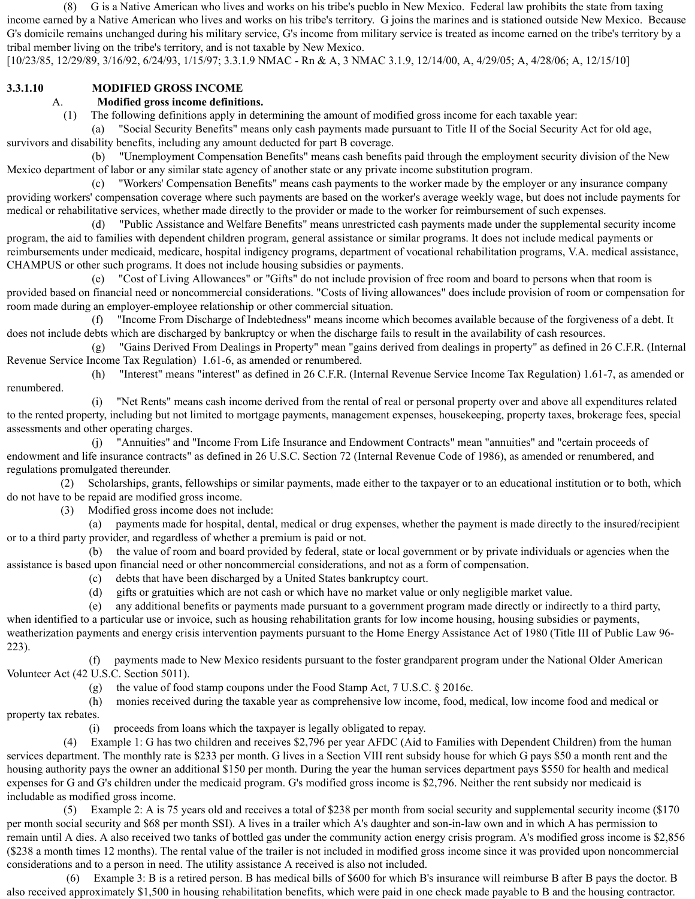(8) G is a Native American who lives and works on his tribe's pueblo in New Mexico. Federal law prohibits the state from taxing income earned by a Native American who lives and works on his tribe's territory. G joins the marines and is stationed outside New Mexico. Because G's domicile remains unchanged during his military service, G's income from military service is treated as income earned on the tribe's territory by a tribal member living on the tribe's territory, and is not taxable by New Mexico.

[10/23/85, 12/29/89, 3/16/92, 6/24/93, 1/15/97; 3.3.1.9 NMAC - Rn & A, 3 NMAC 3.1.9, 12/14/00, A, 4/29/05; A, 4/28/06; A, 12/15/10]

### **3.3.1.10 MODIFIED GROSS INCOME**

### A. **Modified gross income definitions.**

(1) The following definitions apply in determining the amount of modified gross income for each taxable year:

(a) "Social Security Benefits" means only cash payments made pursuant to Title II of the Social Security Act for old age, survivors and disability benefits, including any amount deducted for part B coverage.

(b) "Unemployment Compensation Benefits" means cash benefits paid through the employment security division of the New Mexico department of labor or any similar state agency of another state or any private income substitution program.

(c) "Workers' Compensation Benefits" means cash payments to the worker made by the employer or any insurance company providing workers' compensation coverage where such payments are based on the worker's average weekly wage, but does not include payments for medical or rehabilitative services, whether made directly to the provider or made to the worker for reimbursement of such expenses.

(d) "Public Assistance and Welfare Benefits" means unrestricted cash payments made under the supplemental security income program, the aid to families with dependent children program, general assistance or similar programs. It does not include medical payments or reimbursements under medicaid, medicare, hospital indigency programs, department of vocational rehabilitation programs, V.A. medical assistance, CHAMPUS or other such programs. It does not include housing subsidies or payments.

(e) "Cost of Living Allowances" or "Gifts" do not include provision of free room and board to persons when that room is provided based on financial need or noncommercial considerations. "Costs of living allowances" does include provision of room or compensation for room made during an employer-employee relationship or other commercial situation.

(f) "Income From Discharge of Indebtedness" means income which becomes available because of the forgiveness of a debt. It does not include debts which are discharged by bankruptcy or when the discharge fails to result in the availability of cash resources.

(g) "Gains Derived From Dealings in Property" mean "gains derived from dealings in property" as defined in 26 C.F.R. (Internal Revenue Service Income Tax Regulation) 1.61-6, as amended or renumbered.

(h) "Interest" means "interest" as defined in 26 C.F.R. (Internal Revenue Service Income Tax Regulation) 1.61-7, as amended or renumbered.

(i) "Net Rents" means cash income derived from the rental of real or personal property over and above all expenditures related to the rented property, including but not limited to mortgage payments, management expenses, housekeeping, property taxes, brokerage fees, special assessments and other operating charges.

(j) "Annuities" and "Income From Life Insurance and Endowment Contracts" mean "annuities" and "certain proceeds of endowment and life insurance contracts" as defined in 26 U.S.C. Section 72 (Internal Revenue Code of 1986), as amended or renumbered, and regulations promulgated thereunder.

(2) Scholarships, grants, fellowships or similar payments, made either to the taxpayer or to an educational institution or to both, which do not have to be repaid are modified gross income.

(3) Modified gross income does not include:

(a) payments made for hospital, dental, medical or drug expenses, whether the payment is made directly to the insured/recipient or to a third party provider, and regardless of whether a premium is paid or not.

(b) the value of room and board provided by federal, state or local government or by private individuals or agencies when the assistance is based upon financial need or other noncommercial considerations, and not as a form of compensation.

(c) debts that have been discharged by a United States bankruptcy court.

(d) gifts or gratuities which are not cash or which have no market value or only negligible market value.

(e) any additional benefits or payments made pursuant to a government program made directly or indirectly to a third party,

when identified to a particular use or invoice, such as housing rehabilitation grants for low income housing, housing subsidies or payments, weatherization payments and energy crisis intervention payments pursuant to the Home Energy Assistance Act of 1980 (Title III of Public Law 96- 223).

(f) payments made to New Mexico residents pursuant to the foster grandparent program under the National Older American Volunteer Act (42 U.S.C. Section 5011).

(g) the value of food stamp coupons under the Food Stamp Act, 7 U.S.C. § 2016c.

(h) monies received during the taxable year as comprehensive low income, food, medical, low income food and medical or property tax rebates.

(i) proceeds from loans which the taxpayer is legally obligated to repay.

(4) Example 1: G has two children and receives \$2,796 per year AFDC (Aid to Families with Dependent Children) from the human services department. The monthly rate is \$233 per month. G lives in a Section VIII rent subsidy house for which G pays \$50 a month rent and the housing authority pays the owner an additional \$150 per month. During the year the human services department pays \$550 for health and medical expenses for G and G's children under the medicaid program. G's modified gross income is \$2,796. Neither the rent subsidy nor medicaid is includable as modified gross income.

(5) Example 2: A is 75 years old and receives a total of \$238 per month from social security and supplemental security income (\$170 per month social security and \$68 per month SSI). A lives in a trailer which A's daughter and son-in-law own and in which A has permission to remain until A dies. A also received two tanks of bottled gas under the community action energy crisis program. A's modified gross income is \$2,856 (\$238 a month times 12 months). The rental value of the trailer is not included in modified gross income since it was provided upon noncommercial considerations and to a person in need. The utility assistance A received is also not included.

(6) Example 3: B is a retired person. B has medical bills of \$600 for which B's insurance will reimburse B after B pays the doctor. B also received approximately \$1,500 in housing rehabilitation benefits, which were paid in one check made payable to B and the housing contractor.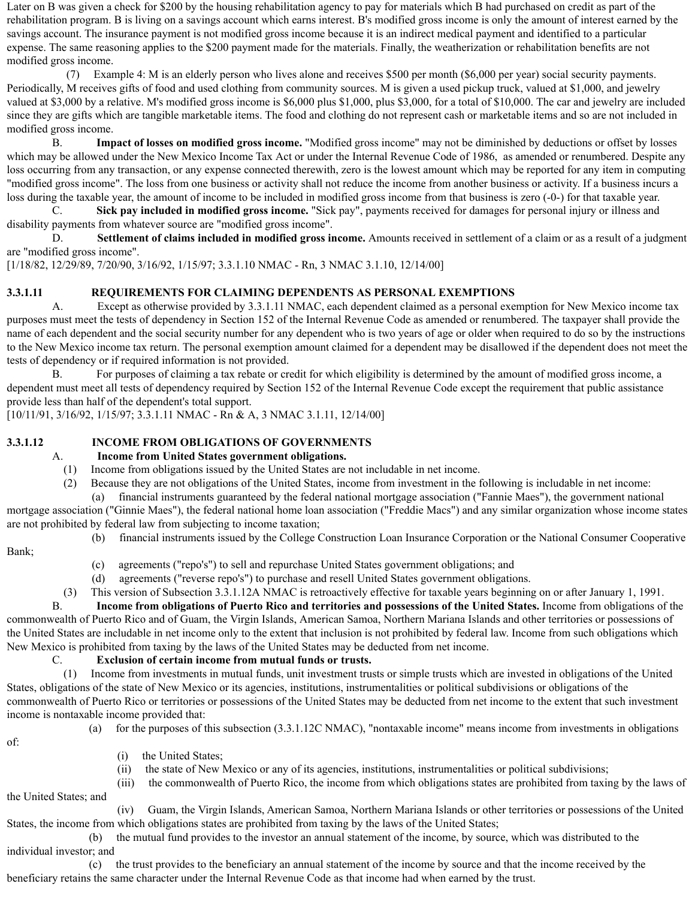Later on B was given a check for \$200 by the housing rehabilitation agency to pay for materials which B had purchased on credit as part of the rehabilitation program. B is living on a savings account which earns interest. B's modified gross income is only the amount of interest earned by the savings account. The insurance payment is not modified gross income because it is an indirect medical payment and identified to a particular expense. The same reasoning applies to the \$200 payment made for the materials. Finally, the weatherization or rehabilitation benefits are not modified gross income.

(7) Example 4: M is an elderly person who lives alone and receives \$500 per month (\$6,000 per year) social security payments. Periodically, M receives gifts of food and used clothing from community sources. M is given a used pickup truck, valued at \$1,000, and jewelry valued at \$3,000 by a relative. M's modified gross income is \$6,000 plus \$1,000, plus \$3,000, for a total of \$10,000. The car and jewelry are included since they are gifts which are tangible marketable items. The food and clothing do not represent cash or marketable items and so are not included in modified gross income.

B. **Impact of losses on modified gross income.** "Modified gross income" may not be diminished by deductions or offset by losses which may be allowed under the New Mexico Income Tax Act or under the Internal Revenue Code of 1986, as amended or renumbered. Despite any loss occurring from any transaction, or any expense connected therewith, zero is the lowest amount which may be reported for any item in computing "modified gross income". The loss from one business or activity shall not reduce the income from another business or activity. If a business incurs a loss during the taxable year, the amount of income to be included in modified gross income from that business is zero (-0-) for that taxable year.

C. **Sick pay included in modified gross income.** "Sick pay", payments received for damages for personal injury or illness and disability payments from whatever source are "modified gross income".

D. **Settlement of claims included in modified gross income.** Amounts received in settlement of a claim or as a result of a judgment are "modified gross income".

[1/18/82, 12/29/89, 7/20/90, 3/16/92, 1/15/97; 3.3.1.10 NMAC - Rn, 3 NMAC 3.1.10, 12/14/00]

## **3.3.1.11 REQUIREMENTS FOR CLAIMING DEPENDENTS AS PERSONAL EXEMPTIONS**

A. Except as otherwise provided by 3.3.1.11 NMAC, each dependent claimed as a personal exemption for New Mexico income tax purposes must meet the tests of dependency in Section 152 of the Internal Revenue Code as amended or renumbered. The taxpayer shall provide the name of each dependent and the social security number for any dependent who is two years of age or older when required to do so by the instructions to the New Mexico income tax return. The personal exemption amount claimed for a dependent may be disallowed if the dependent does not meet the tests of dependency or if required information is not provided.

B. For purposes of claiming a tax rebate or credit for which eligibility is determined by the amount of modified gross income, a dependent must meet all tests of dependency required by Section 152 of the Internal Revenue Code except the requirement that public assistance provide less than half of the dependent's total support.

[10/11/91, 3/16/92, 1/15/97; 3.3.1.11 NMAC - Rn & A, 3 NMAC 3.1.11, 12/14/00]

### **3.3.1.12 INCOME FROM OBLIGATIONS OF GOVERNMENTS**

#### A. **Income from United States government obligations.**

- (1) Income from obligations issued by the United States are not includable in net income.
- (2) Because they are not obligations of the United States, income from investment in the following is includable in net income:

(a) financial instruments guaranteed by the federal national mortgage association ("Fannie Maes"), the government national mortgage association ("Ginnie Maes"), the federal national home loan association ("Freddie Macs") and any similar organization whose income states are not prohibited by federal law from subjecting to income taxation;

- Bank;
- (b) financial instruments issued by the College Construction Loan Insurance Corporation or the National Consumer Cooperative
- - (c) agreements ("repo's") to sell and repurchase United States government obligations; and
	- (d) agreements ("reverse repo's") to purchase and resell United States government obligations.

(3) This version of Subsection 3.3.1.12A NMAC is retroactively effective for taxable years beginning on or after January 1, 1991.

B. **Income from obligations of Puerto Rico and territories and possessions of the United States.** Income from obligations of the commonwealth of Puerto Rico and of Guam, the Virgin Islands, American Samoa, Northern Mariana Islands and other territories or possessions of the United States are includable in net income only to the extent that inclusion is not prohibited by federal law. Income from such obligations which New Mexico is prohibited from taxing by the laws of the United States may be deducted from net income.

#### C. **Exclusion of certain income from mutual funds or trusts.**

(1) Income from investments in mutual funds, unit investment trusts or simple trusts which are invested in obligations of the United States, obligations of the state of New Mexico or its agencies, institutions, instrumentalities or political subdivisions or obligations of the commonwealth of Puerto Rico or territories or possessions of the United States may be deducted from net income to the extent that such investment income is nontaxable income provided that:

(a) for the purposes of this subsection (3.3.1.12C NMAC), "nontaxable income" means income from investments in obligations

of:

- (i) the United States;
- (ii) the state of New Mexico or any of its agencies, institutions, instrumentalities or political subdivisions;
- (iii) the commonwealth of Puerto Rico, the income from which obligations states are prohibited from taxing by the laws of the United States; and

(iv) Guam, the Virgin Islands, American Samoa, Northern Mariana Islands or other territories or possessions of the United States, the income from which obligations states are prohibited from taxing by the laws of the United States;

(b) the mutual fund provides to the investor an annual statement of the income, by source, which was distributed to the individual investor; and

(c) the trust provides to the beneficiary an annual statement of the income by source and that the income received by the beneficiary retains the same character under the Internal Revenue Code as that income had when earned by the trust.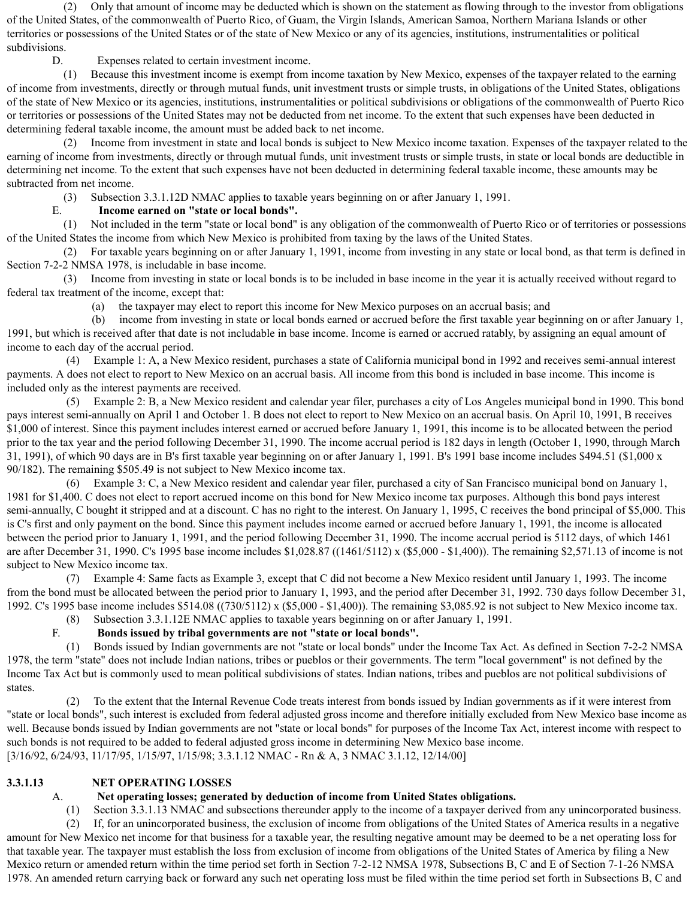(2) Only that amount of income may be deducted which is shown on the statement as flowing through to the investor from obligations of the United States, of the commonwealth of Puerto Rico, of Guam, the Virgin Islands, American Samoa, Northern Mariana Islands or other territories or possessions of the United States or of the state of New Mexico or any of its agencies, institutions, instrumentalities or political subdivisions.

D. Expenses related to certain investment income.

(1) Because this investment income is exempt from income taxation by New Mexico, expenses of the taxpayer related to the earning of income from investments, directly or through mutual funds, unit investment trusts or simple trusts, in obligations of the United States, obligations of the state of New Mexico or its agencies, institutions, instrumentalities or political subdivisions or obligations of the commonwealth of Puerto Rico or territories or possessions of the United States may not be deducted from net income. To the extent that such expenses have been deducted in determining federal taxable income, the amount must be added back to net income.

(2) Income from investment in state and local bonds is subject to New Mexico income taxation. Expenses of the taxpayer related to the earning of income from investments, directly or through mutual funds, unit investment trusts or simple trusts, in state or local bonds are deductible in determining net income. To the extent that such expenses have not been deducted in determining federal taxable income, these amounts may be subtracted from net income.

(3) Subsection 3.3.1.12D NMAC applies to taxable years beginning on or after January 1, 1991.

## E. **Income earned on "state or local bonds".**

(1) Not included in the term "state or local bond" is any obligation of the commonwealth of Puerto Rico or of territories or possessions of the United States the income from which New Mexico is prohibited from taxing by the laws of the United States.

(2) For taxable years beginning on or after January 1, 1991, income from investing in any state or local bond, as that term is defined in Section 7-2-2 NMSA 1978, is includable in base income.

(3) Income from investing in state or local bonds is to be included in base income in the year it is actually received without regard to federal tax treatment of the income, except that:

(a) the taxpayer may elect to report this income for New Mexico purposes on an accrual basis; and

(b) income from investing in state or local bonds earned or accrued before the first taxable year beginning on or after January 1, 1991, but which is received after that date is not includable in base income. Income is earned or accrued ratably, by assigning an equal amount of income to each day of the accrual period.

(4) Example 1: A, a New Mexico resident, purchases a state of California municipal bond in 1992 and receives semi-annual interest payments. A does not elect to report to New Mexico on an accrual basis. All income from this bond is included in base income. This income is included only as the interest payments are received.

(5) Example 2: B, a New Mexico resident and calendar year filer, purchases a city of Los Angeles municipal bond in 1990. This bond pays interest semi-annually on April 1 and October 1. B does not elect to report to New Mexico on an accrual basis. On April 10, 1991, B receives \$1,000 of interest. Since this payment includes interest earned or accrued before January 1, 1991, this income is to be allocated between the period prior to the tax year and the period following December 31, 1990. The income accrual period is 182 days in length (October 1, 1990, through March 31, 1991), of which 90 days are in B's first taxable year beginning on or after January 1, 1991. B's 1991 base income includes \$494.51 (\$1,000 x 90/182). The remaining \$505.49 is not subject to New Mexico income tax.

(6) Example 3: C, a New Mexico resident and calendar year filer, purchased a city of San Francisco municipal bond on January 1, 1981 for \$1,400. C does not elect to report accrued income on this bond for New Mexico income tax purposes. Although this bond pays interest semi-annually, C bought it stripped and at a discount. C has no right to the interest. On January 1, 1995, C receives the bond principal of \$5,000. This is C's first and only payment on the bond. Since this payment includes income earned or accrued before January 1, 1991, the income is allocated between the period prior to January 1, 1991, and the period following December 31, 1990. The income accrual period is 5112 days, of which 1461 are after December 31, 1990. C's 1995 base income includes \$1,028.87 ((1461/5112) x (\$5,000 - \$1,400)). The remaining \$2,571.13 of income is not subject to New Mexico income tax.

(7) Example 4: Same facts as Example 3, except that C did not become a New Mexico resident until January 1, 1993. The income from the bond must be allocated between the period prior to January 1, 1993, and the period after December 31, 1992. 730 days follow December 31, 1992. C's 1995 base income includes \$514.08 ((730/5112) x (\$5,000 - \$1,400)). The remaining \$3,085.92 is not subject to New Mexico income tax.

(8) Subsection 3.3.1.12E NMAC applies to taxable years beginning on or after January 1, 1991.

# F. **Bonds issued by tribal governments are not "state or local bonds".**

(1) Bonds issued by Indian governments are not "state or local bonds" under the Income Tax Act. As defined in Section 7-2-2 NMSA 1978, the term "state" does not include Indian nations, tribes or pueblos or their governments. The term "local government" is not defined by the Income Tax Act but is commonly used to mean political subdivisions of states. Indian nations, tribes and pueblos are not political subdivisions of states.

(2) To the extent that the Internal Revenue Code treats interest from bonds issued by Indian governments as if it were interest from "state or local bonds", such interest is excluded from federal adjusted gross income and therefore initially excluded from New Mexico base income as well. Because bonds issued by Indian governments are not "state or local bonds" for purposes of the Income Tax Act, interest income with respect to such bonds is not required to be added to federal adjusted gross income in determining New Mexico base income. [3/16/92, 6/24/93, 11/17/95, 1/15/97, 1/15/98; 3.3.1.12 NMAC - Rn & A, 3 NMAC 3.1.12, 12/14/00]

# **3.3.1.13 NET OPERATING LOSSES**

# A. **Net operating losses; generated by deduction of income from United States obligations.**

(1) Section 3.3.1.13 NMAC and subsections thereunder apply to the income of a taxpayer derived from any unincorporated business. (2) If, for an unincorporated business, the exclusion of income from obligations of the United States of America results in a negative amount for New Mexico net income for that business for a taxable year, the resulting negative amount may be deemed to be a net operating loss for that taxable year. The taxpayer must establish the loss from exclusion of income from obligations of the United States of America by filing a New Mexico return or amended return within the time period set forth in Section 7-2-12 NMSA 1978, Subsections B, C and E of Section 7-1-26 NMSA 1978. An amended return carrying back or forward any such net operating loss must be filed within the time period set forth in Subsections B, C and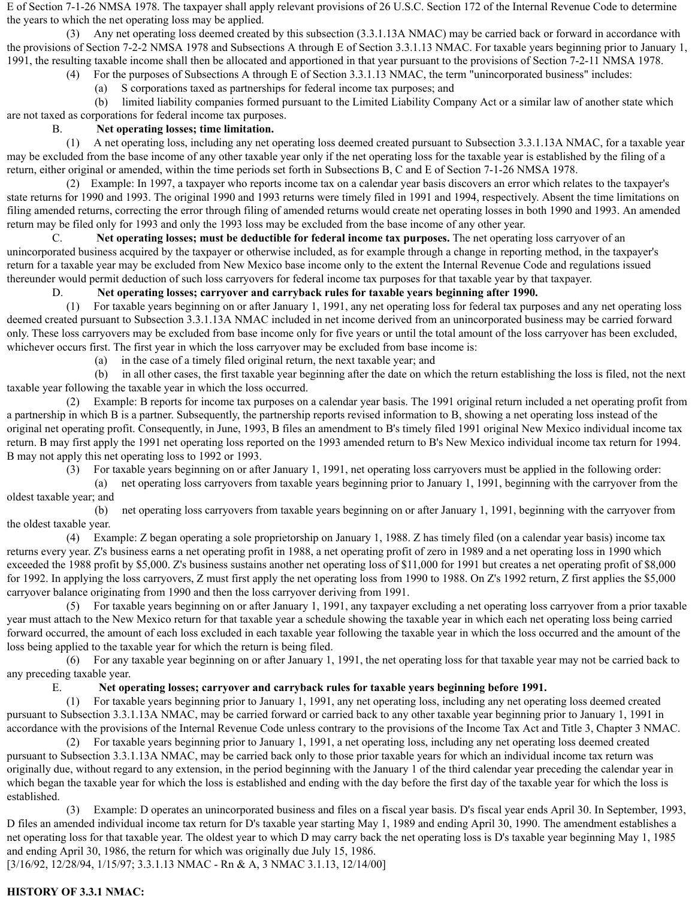E of Section 7-1-26 NMSA 1978. The taxpayer shall apply relevant provisions of 26 U.S.C. Section 172 of the Internal Revenue Code to determine the years to which the net operating loss may be applied.

(3) Any net operating loss deemed created by this subsection (3.3.1.13A NMAC) may be carried back or forward in accordance with the provisions of Section 7-2-2 NMSA 1978 and Subsections A through E of Section 3.3.1.13 NMAC. For taxable years beginning prior to January 1, 1991, the resulting taxable income shall then be allocated and apportioned in that year pursuant to the provisions of Section 7-2-11 NMSA 1978.

(4) For the purposes of Subsections A through E of Section 3.3.1.13 NMAC, the term "unincorporated business" includes:

(a) S corporations taxed as partnerships for federal income tax purposes; and

(b) limited liability companies formed pursuant to the Limited Liability Company Act or a similar law of another state which are not taxed as corporations for federal income tax purposes.

## B. **Net operating losses; time limitation.**

(1) A net operating loss, including any net operating loss deemed created pursuant to Subsection 3.3.1.13A NMAC, for a taxable year may be excluded from the base income of any other taxable year only if the net operating loss for the taxable year is established by the filing of a return, either original or amended, within the time periods set forth in Subsections B, C and E of Section 7-1-26 NMSA 1978.

(2) Example: In 1997, a taxpayer who reports income tax on a calendar year basis discovers an error which relates to the taxpayer's state returns for 1990 and 1993. The original 1990 and 1993 returns were timely filed in 1991 and 1994, respectively. Absent the time limitations on filing amended returns, correcting the error through filing of amended returns would create net operating losses in both 1990 and 1993. An amended return may be filed only for 1993 and only the 1993 loss may be excluded from the base income of any other year.

C. **Net operating losses; must be deductible for federal income tax purposes.** The net operating loss carryover of an unincorporated business acquired by the taxpayer or otherwise included, as for example through a change in reporting method, in the taxpayer's return for a taxable year may be excluded from New Mexico base income only to the extent the Internal Revenue Code and regulations issued thereunder would permit deduction of such loss carryovers for federal income tax purposes for that taxable year by that taxpayer.

### D. **Net operating losses; carryover and carryback rules for taxable years beginning after 1990.**

(1) For taxable years beginning on or after January 1, 1991, any net operating loss for federal tax purposes and any net operating loss deemed created pursuant to Subsection 3.3.1.13A NMAC included in net income derived from an unincorporated business may be carried forward only. These loss carryovers may be excluded from base income only for five years or until the total amount of the loss carryover has been excluded, whichever occurs first. The first year in which the loss carryover may be excluded from base income is:

(a) in the case of a timely filed original return, the next taxable year; and

(b) in all other cases, the first taxable year beginning after the date on which the return establishing the loss is filed, not the next taxable year following the taxable year in which the loss occurred.

(2) Example: B reports for income tax purposes on a calendar year basis. The 1991 original return included a net operating profit from a partnership in which B is a partner. Subsequently, the partnership reports revised information to B, showing a net operating loss instead of the original net operating profit. Consequently, in June, 1993, B files an amendment to B's timely filed 1991 original New Mexico individual income tax return. B may first apply the 1991 net operating loss reported on the 1993 amended return to B's New Mexico individual income tax return for 1994. B may not apply this net operating loss to 1992 or 1993.

(3) For taxable years beginning on or after January 1, 1991, net operating loss carryovers must be applied in the following order:

(a) net operating loss carryovers from taxable years beginning prior to January 1, 1991, beginning with the carryover from the oldest taxable year; and

(b) net operating loss carryovers from taxable years beginning on or after January 1, 1991, beginning with the carryover from the oldest taxable year.

(4) Example: Z began operating a sole proprietorship on January 1, 1988. Z has timely filed (on a calendar year basis) income tax returns every year. Z's business earns a net operating profit in 1988, a net operating profit of zero in 1989 and a net operating loss in 1990 which exceeded the 1988 profit by \$5,000. Z's business sustains another net operating loss of \$11,000 for 1991 but creates a net operating profit of \$8,000 for 1992. In applying the loss carryovers, Z must first apply the net operating loss from 1990 to 1988. On Z's 1992 return, Z first applies the \$5,000 carryover balance originating from 1990 and then the loss carryover deriving from 1991.

(5) For taxable years beginning on or after January 1, 1991, any taxpayer excluding a net operating loss carryover from a prior taxable year must attach to the New Mexico return for that taxable year a schedule showing the taxable year in which each net operating loss being carried forward occurred, the amount of each loss excluded in each taxable year following the taxable year in which the loss occurred and the amount of the loss being applied to the taxable year for which the return is being filed.

(6) For any taxable year beginning on or after January 1, 1991, the net operating loss for that taxable year may not be carried back to any preceding taxable year.

### E. **Net operating losses; carryover and carryback rules for taxable years beginning before 1991.**

(1) For taxable years beginning prior to January 1, 1991, any net operating loss, including any net operating loss deemed created pursuant to Subsection 3.3.1.13A NMAC, may be carried forward or carried back to any other taxable year beginning prior to January 1, 1991 in accordance with the provisions of the Internal Revenue Code unless contrary to the provisions of the Income Tax Act and Title 3, Chapter 3 NMAC.

(2) For taxable years beginning prior to January 1, 1991, a net operating loss, including any net operating loss deemed created pursuant to Subsection 3.3.1.13A NMAC, may be carried back only to those prior taxable years for which an individual income tax return was originally due, without regard to any extension, in the period beginning with the January 1 of the third calendar year preceding the calendar year in which began the taxable year for which the loss is established and ending with the day before the first day of the taxable year for which the loss is established.

(3) Example: D operates an unincorporated business and files on a fiscal year basis. D's fiscal year ends April 30. In September, 1993, D files an amended individual income tax return for D's taxable year starting May 1, 1989 and ending April 30, 1990. The amendment establishes a net operating loss for that taxable year. The oldest year to which D may carry back the net operating loss is D's taxable year beginning May 1, 1985 and ending April 30, 1986, the return for which was originally due July 15, 1986.

[3/16/92, 12/28/94, 1/15/97; 3.3.1.13 NMAC - Rn & A, 3 NMAC 3.1.13, 12/14/00]

## **HISTORY OF 3.3.1 NMAC:**